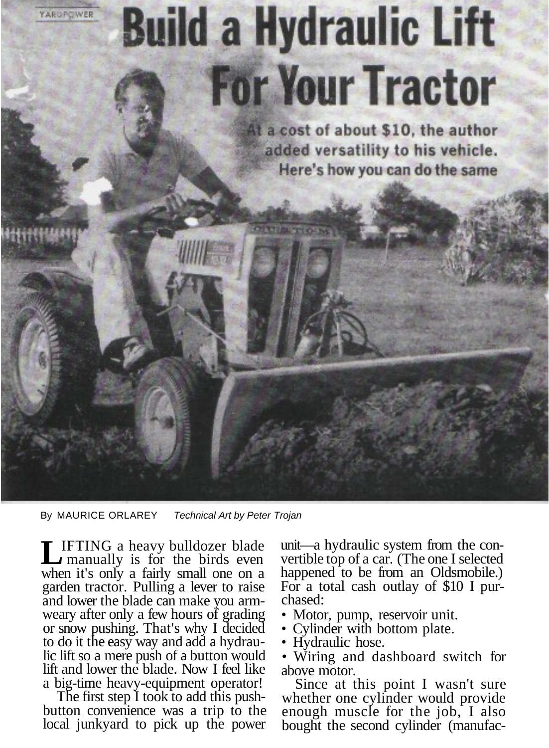

By MAURICE ORLAREY Technical Art by Peter Trojan

IFTING a heavy bulldozer blade manually is for the birds even **L**when it's only a fairly small one on a garden tractor. Pulling a lever to raise and lower the blade can make you armweary after only a few hours of grading or snow pushing. That's why I decided to do it the easy way and add a hydraulic lift so a mere push of a button would lift and lower the blade. Now I feel like

a big-time heavy-equipment operator! The first step I took to add this pushbutton convenience was a trip to the local junkyard to pick up the power unit—a hydraulic system from the convertible top of a car. (The one I selected happened to be from an Oldsmobile.) For a total cash outlay of \$10 I purchased:

- Motor, pump, reservoir unit. Cylinder with bottom plate.
- 
- Hydraulic hose.

• Wiring and dashboard switch for above motor.

Since at this point I wasn't sure whether one cylinder would provide enough muscle for the job, I also bought the second cylinder (manufac-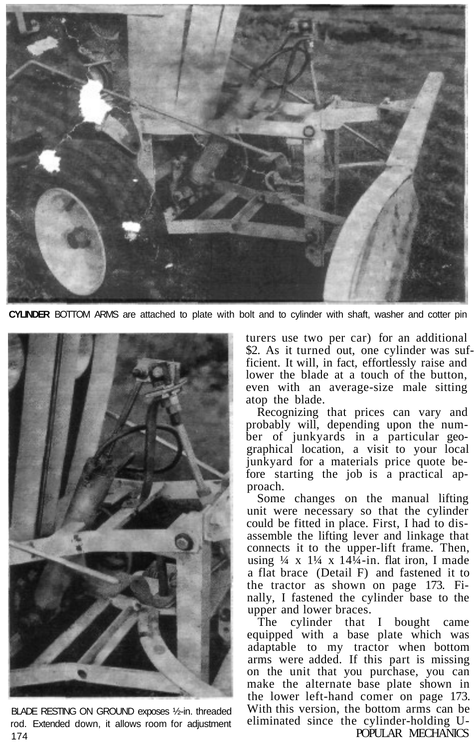

**CYLINDER** BOTTOM ARMS are attached to plate with bolt and to cylinder with shaft, washer and cotter pin



BLADE RESTING ON GROUND exposes ½-in. threaded rod. Extended down, it allows room for adjustment 174

turers use two per car) for an additional \$2. As it turned out, one cylinder was sufficient. It will, in fact, effortlessly raise and lower the blade at a touch of the button, even with an average-size male sitting atop the blade.

Recognizing that prices can vary and probably will, depending upon the number of junkyards in a particular geographical location, a visit to your local junkyard for a materials price quote before starting the job is a practical approach.

Some changes on the manual lifting unit were necessary so that the cylinder could be fitted in place. First, I had to disassemble the lifting lever and linkage that connects it to the upper-lift frame. Then, using  $\frac{1}{4} \times 1\frac{1}{4} \times 14\frac{1}{4}$ -in. flat iron, I made a flat brace (Detail F) and fastened it to the tractor as shown on page 173. Finally, I fastened the cylinder base to the upper and lower braces.

cylinder that I bought came equipped with a base plate which was adaptable to my tractor when bottom arms were added. If this part is missing on the unit that you purchase, you can make the alternate base plate shown in the lower left-hand comer on page 173. With this version, the bottom arms can be eliminated since the cylinder-holding U-POPULAR MECHANICS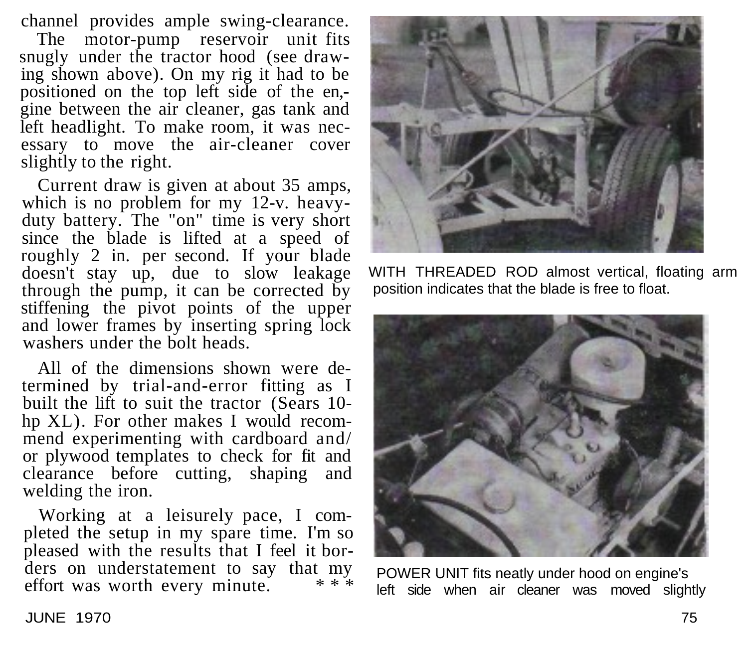channel provides ample swing-clearance.

The motor-pump reservoir unit fits snugly under the tractor hood (see drawing shown above). On my rig it had to be positioned on the top left side of the en, gine between the air cleaner, gas tank and left headlight. To make room, it was necessary to move the air-cleaner cover slightly to the right.

Current draw is given at about 35 amps, which is no problem for my 12-v. heavyduty battery. The "on" time is very short since the blade is lifted at a speed of roughly 2 in. per second. If your blade doesn't stay up, due to slow leakage through the pump, it can be corrected by stiffening the pivot points of the upper and lower frames by inserting spring lock washers under the bolt heads.

All of the dimensions shown were determined by trial-and-error fitting as I built the lift to suit the tractor (Sears 10 hp XL). For other makes I would recommend experimenting with cardboard and/ or plywood templates to check for fit and clearance before cutting, shaping and welding the iron.

Working at a leisurely pace, I completed the setup in my spare time. I'm so pleased with the results that I feel it borders on understatement to say that my effort was worth every minute.



WITH THREADED ROD almost vertical, floating arm position indicates that the blade is free to float.



POWER UNIT fits neatly under hood on engine's left side when air cleaner was moved slightly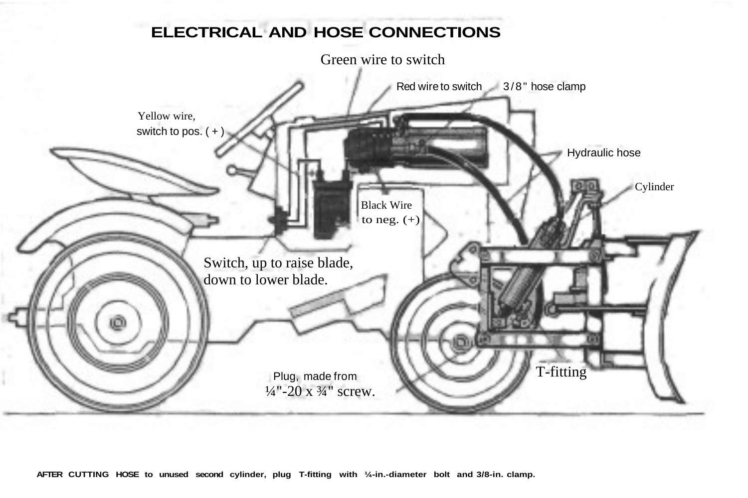

**AFTER CUTTING HOSE to unused second cylinder, plug T-fitting with ¼-in.-diameter bolt and 3/8-in. clamp.**